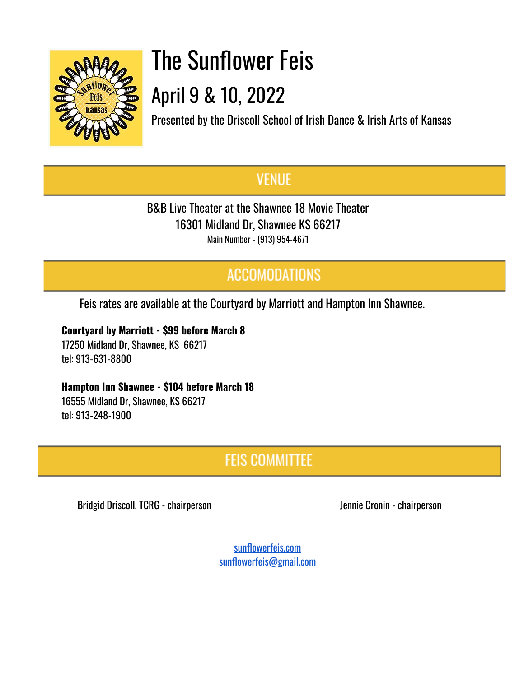

# The Sunflower Feis April 9 & 10, 2022

Presented by the Driscoll School of Irish Dance & Irish Arts of Kansas

## **VENUE**

B&B Live Theater at the Shawnee 18 Movie Theater 16301 Midland Dr, Shawnee KS 66217 Main Number - (913) 954-4671

## **ACCOMODATIONS**

Feis rates are available at the Courtyard by Marriott and Hampton Inn Shawnee.

**Courtyard by Marriott - \$99 before March 8**

17250 Midland Dr, Shawnee, KS 66217 tel: 913-631-8800

### **Hampton Inn Shawnee - \$104 before March 18**

16555 Midland Dr, Shawnee, KS 66217 tel: 913-248-1900

## **FEIS COMMITTEE**

Bridgid Driscoll, TCRG - chairperson and a series of the series of the Uennie Cronin - chairperson

[sunflowerfeis.com](https://www.sunflowerfeis.com/) [sunflowerfeis@gmail.com](mailto:sunflowerfeis@gmail.com)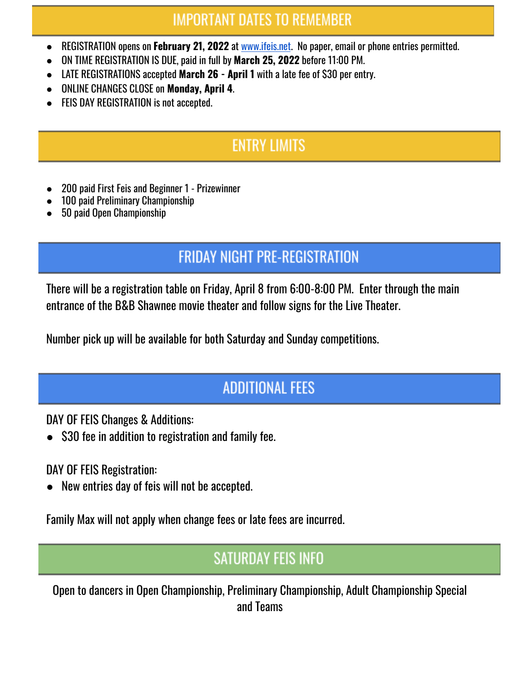## **IMPORTANT DATES TO REMEMBER**

- REGISTRATION opens on **February 21, 2022** at [www.ifeis.net](http://www.ifeis.net/). No paper, email or phone entries permitted.
- ON TIME REGISTRATION IS DUE, paid in full by **March 25, 2022** before 11:00 PM.
- LATE REGISTRATIONS accepted **March 26 - April 1** with a late fee of \$30 per entry.
- ONLINE CHANGES CLOSE on **Monday, April 4**.
- **FEIS DAY REGISTRATION is not accepted.**

## **ENTRY LIMITS**

- 200 paid First Feis and Beginner 1 Prizewinner
- 100 paid Preliminary Championship
- 50 paid Open Championship

## **FRIDAY NIGHT PRE-REGISTRATION**

There will be a registration table on Friday, April 8 from 6:00-8:00 PM. Enter through the main entrance of the B&B Shawnee movie theater and follow signs for the Live Theater.

Number pick up will be available for both Saturday and Sunday competitions.

## **ADDITIONAL FEES**

DAY OF FEIS Changes & Additions:

\$30 fee in addition to registration and family fee.

DAY OF FEIS Registration:

New entries day of feis will not be accepted.

Family Max will not apply when change fees or late fees are incurred.

## **SATURDAY FEIS INFO**

Open to dancers in Open Championship, Preliminary Championship, Adult Championship Special and Teams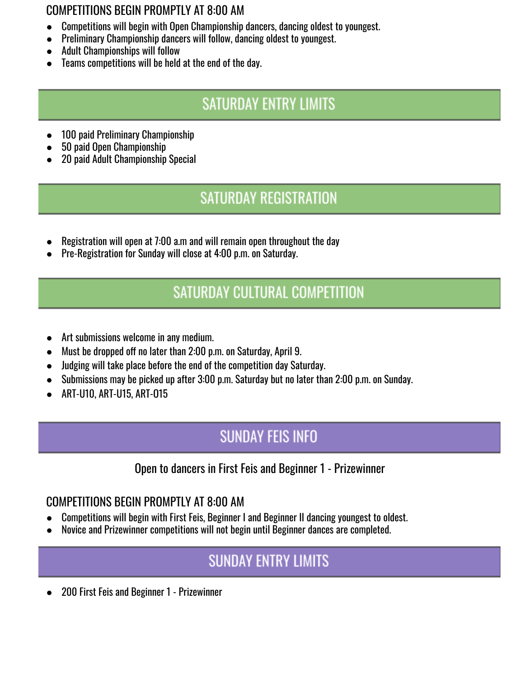### COMPETITIONS BEGIN PROMPTLY AT 8:00 AM

- Competitions will begin with Open Championship dancers, dancing oldest to youngest.
- Preliminary Championship dancers will follow, dancing oldest to youngest.
- Adult Championships will follow
- Teams competitions will be held at the end of the day.

## **SATURDAY ENTRY LIMITS**

- 100 paid Preliminary Championship
- 50 paid Open Championship
- 20 paid Adult Championship Special

## **SATURDAY REGISTRATION**

- Registration will open at 7:00 a.m and will remain open throughout the day
- Pre-Registration for Sunday will close at 4:00 p.m. on Saturday.

## **SATURDAY CULTURAL COMPETITION**

- Art submissions welcome in any medium.
- Must be dropped off no later than 2:00 p.m. on Saturday, April 9.
- Judging will take place before the end of the competition day Saturday.
- Submissions may be picked up after 3:00 p.m. Saturday but no later than 2:00 p.m. on Sunday.
- ART-U10, ART-U15, ART-O15

## **SUNDAY FEIS INFO**

## Open to dancers in First Feis and Beginner 1 - Prizewinner

### COMPETITIONS BEGIN PROMPTLY AT 8:00 AM

- Competitions will begin with First Feis, Beginner I and Beginner II dancing youngest to oldest.
- Novice and Prizewinner competitions will not begin until Beginner dances are completed.

## **SUNDAY ENTRY LIMITS**

200 First Feis and Beginner 1 - Prizewinner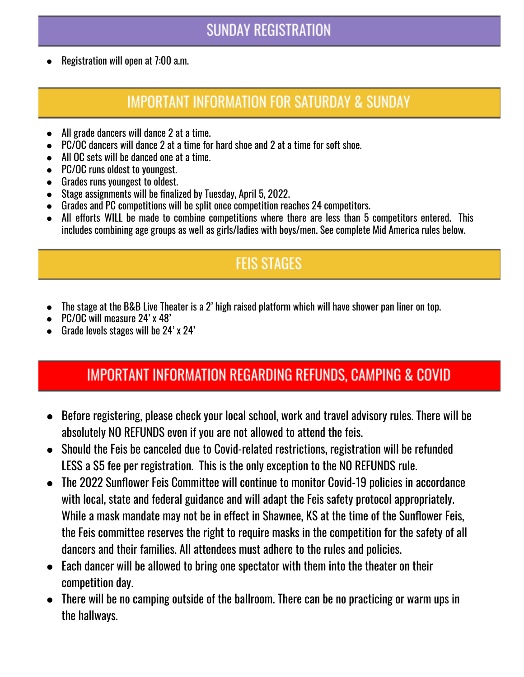## **SUNDAY REGISTRATION**

Registration will open at 7:00 a.m.

## **IMPORTANT INFORMATION FOR SATURDAY & SUNDAY**

- All grade dancers will dance 2 at a time.
- PC/OC dancers will dance 2 at a time for hard shoe and 2 at a time for soft shoe.
- All OC sets will be danced one at a time.
- PC/OC runs oldest to youngest.
- Grades runs youngest to oldest.
- Stage assignments will be finalized by Tuesday, April 5, 2022.
- Grades and PC competitions will be split once competition reaches 24 competitors.
- All efforts WILL be made to combine competitions where there are less than 5 competitors entered. This includes combining age groups as well as girls/ladies with boys/men. See complete Mid America rules below.

## **FEIS STAGES**

- The stage at the B&B Live Theater is a 2' high raised platform which will have shower pan liner on top.
- PC/OC will measure 24' x 48'
- Grade levels stages will be 24' x 24'

## IMPORTANT INFORMATION REGARDING REFUNDS, CAMPING & COVID

- Before registering, please check your local school, work and travel advisory rules. There will be absolutely NO REFUNDS even if you are not allowed to attend the feis.
- Should the Feis be canceled due to Covid-related restrictions, registration will be refunded LESS a \$5 fee per registration. This is the only exception to the NO REFUNDS rule.
- The 2022 Sunflower Feis Committee will continue to monitor Covid-19 policies in accordance with local, state and federal guidance and will adapt the Feis safety protocol appropriately. While a mask mandate may not be in effect in Shawnee, KS at the time of the Sunflower Feis, the Feis committee reserves the right to require masks in the competition for the safety of all dancers and their families. All attendees must adhere to the rules and policies.
- Each dancer will be allowed to bring one spectator with them into the theater on their competition day.
- There will be no camping outside of the ballroom. There can be no practicing or warm ups in the hallways.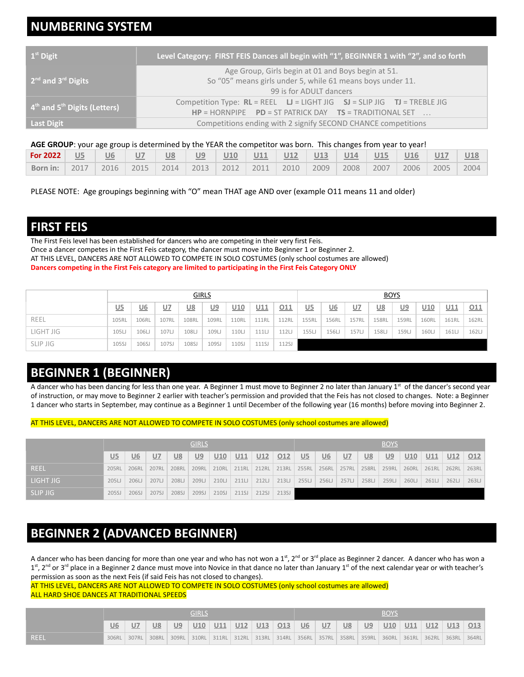## **NUMBERING SYSTEM**

| $1st$ Digit                      | Level Category: FIRST FEIS Dances all begin with "1", BEGINNER 1 with "2", and so forth                                                             |
|----------------------------------|-----------------------------------------------------------------------------------------------------------------------------------------------------|
| $2nd$ and $3rd$ Digits           | Age Group, Girls begin at 01 and Boys begin at 51.<br>So "05" means girls under 5, while 61 means boys under 11.<br>99 is for ADULT dancers         |
| $4th$ and $5th$ Digits (Letters) | Competition Type: $RL = REEL$ $LI = LIGHT JIG$ $SI = SLIP JIG$ $TI = TREELE JIG$<br>$HP = HORNPIPE$ $PD = ST PARTRICK$ $DAY$ $TS = TRADITIONAL SET$ |
| <b>Last Digit</b>                | Competitions ending with 2 signify SECOND CHANCE competitions                                                                                       |

#### **AGE GROUP**: your age group is determined by the YEAR the competitor was born. This changes from year to year!

| For 2022 | U <sub>5</sub>   | <u>U6</u> | U7               | <u>U8</u>          | U9 | <u>U10</u> | $\overline{U11}$ | U12       | U13 | U14  | $ $ U15 | U16  | U17  | U18  |
|----------|------------------|-----------|------------------|--------------------|----|------------|------------------|-----------|-----|------|---------|------|------|------|
| Born in: | $\frac{1}{2017}$ | 2016      | $\frac{1}{2015}$ | 2014   2013   2012 |    |            | 2011             | 2010 2009 |     | 2008 | 2007    | 2006 | 2005 | 2004 |

PLEASE NOTE: Age groupings beginning with "O" mean THAT age AND over (example O11 means 11 and older)

### **FIRST FEIS**

The First Feis level has been established for dancers who are competing in their very first Feis. Once a dancer competes in the First Feis category, the dancer must move into Beginner 1 or Beginner 2. AT THIS LEVEL, DANCERS ARE NOT ALLOWED TO COMPETE IN SOLO COSTUMES (only school costumes are allowed) **Dancers competing in the First Feis category are limited to participating in the First Feis Category ONLY**

|                 |                |           |       | <b>GIRLS</b> |           |                 |                 |       |              |       |              | <b>BOYS</b>  |           |                 |       |       |
|-----------------|----------------|-----------|-------|--------------|-----------|-----------------|-----------------|-------|--------------|-------|--------------|--------------|-----------|-----------------|-------|-------|
|                 | U <sub>5</sub> | <u>U6</u> | U     | <u>U8</u>    | <u>U9</u> | U <sub>10</sub> | U <sub>11</sub> | 011   | <u>U5</u>    | U6    | <u>U7</u>    | <u>U8</u>    | <u>U9</u> | U <sub>10</sub> | U11   | 011   |
| REEL            | 105RL          | 106RL     | 107RL | 108RL        | 109RL     | <b>110RL</b>    | <b>111RL</b>    | 112RL | <b>155RL</b> | 156RL | <b>157RL</b> | <b>158RL</b> | 159RL     | <b>160RL</b>    | 161RL | 162RL |
| LIGHT JIG       | 105LJ          | 106LJ     | 107LJ | 108LJ        | 109LJ     | 110LJ           | 111L            | 112LJ | 155LJ        | 156LJ | 157LJ        | 158LJ        | 159LJ     | 160LJ           | 161LJ | 162LJ |
| <b>SLIP JIG</b> | 105SJ          | 106SJ     | 107SJ | 108SJ        | 109SJ     | 110SJ           | 111SJ           | 112SJ |              |       |              |              |           |                 |       |       |

### **BEGINNER 1 (BEGINNER)**

A dancer who has been dancing for less than one year. A Beginner 1 must move to Beginner 2 no later than January  $1<sup>st</sup>$  of the dancer's second year of instruction, or may move to Beginner 2 earlier with teacher's permission and provided that the Feis has not closed to changes. Note: a Beginner 1 dancer who starts in September, may continue as a Beginner 1 until December of the following year (16 months) before moving into Beginner 2.

#### AT THIS LEVEL, DANCERS ARE NOT ALLOWED TO COMPETE IN SOLO COSTUMES (only school costumes are allowed)

|           |           |                |       |           | <b>GIRLS</b> |       |       |       |       |                |           |                |              | <b>BOYS</b> |                 |       |       |       |
|-----------|-----------|----------------|-------|-----------|--------------|-------|-------|-------|-------|----------------|-----------|----------------|--------------|-------------|-----------------|-------|-------|-------|
|           | <u>U5</u> | U <sub>6</sub> | U     | <b>U8</b> | U9           | U10   | U11   | U12   | 012   | U <sub>5</sub> | <u>U6</u> | U <sub>7</sub> | <u>U8</u>    | U9          | U <sub>10</sub> | U11   | U12   | 012   |
| REEL      | 205RL     | 206RL          | 207RL | 208RL     | 209RL        | 210RL | 211RL | 212RL | 213RL | 255RL          | 256RL     | 257RL          | <b>258RL</b> | 259RL       | <b>260RL</b>    | 261RL | 262RL | 263RL |
| LIGHT JIG | 205LJ     | 206LJ          | 207LJ | 208LJ     | 209LJ        | 210LJ | 211L  | 212L  | 213L  | 255LJ          | 256LJ     | 257LJ          | 258LJ        | 259L        | 260LJ           | 261LJ | 262LJ | 263L  |
| SLIP JIG  | 205SJ     | 206SJ          | 207SJ | 208SJ     | 209SJ        | 210SJ | 211SJ | 212SJ | 213SJ |                |           |                |              |             |                 |       |       |       |

### **BEGINNER 2 (ADVANCED BEGINNER)**

A dancer who has been dancing for more than one year and who has not won a 1<sup>st</sup>, 2<sup>nd</sup> or 3<sup>rd</sup> place as Beginner 2 dancer. A dancer who has won a 1<sup>st</sup>, 2<sup>nd</sup> or 3<sup>rd</sup> place in a Beginner 2 dance must move into Novice in that dance no later than January 1<sup>st</sup> of the next calendar year or with teacher's permission as soon as the next Feis (if said Feis has not closed to changes).

AT THIS LEVEL, DANCERS ARE NOT ALLOWED TO COMPETE IN SOLO COSTUMES (only school costumes are allowed) ALL HARD SHOE DANCES AT TRADITIONAL SPEEDS

|             |    |             |           |           | GIRLS |                                                               |  |                 |    |           | <b>BOYS</b> |                                           |  |  |
|-------------|----|-------------|-----------|-----------|-------|---------------------------------------------------------------|--|-----------------|----|-----------|-------------|-------------------------------------------|--|--|
|             | U6 |             | <u>U8</u> | <u>U9</u> |       | <u>U10 U11 U12 U13 O13</u>                                    |  | $\overline{U6}$ | U7 | <u>U8</u> |             | <u>U9   U10   U11   U12   U13   O13  </u> |  |  |
| <b>REEL</b> |    | 306RL 307RL | 308RL     |           |       | 309RL   310RL   311RL   312RL   313RL   314RL   356RL   357RL |  |                 |    |           |             | 358RL 359RL 360RL 361RL 362RL 363RL 364RL |  |  |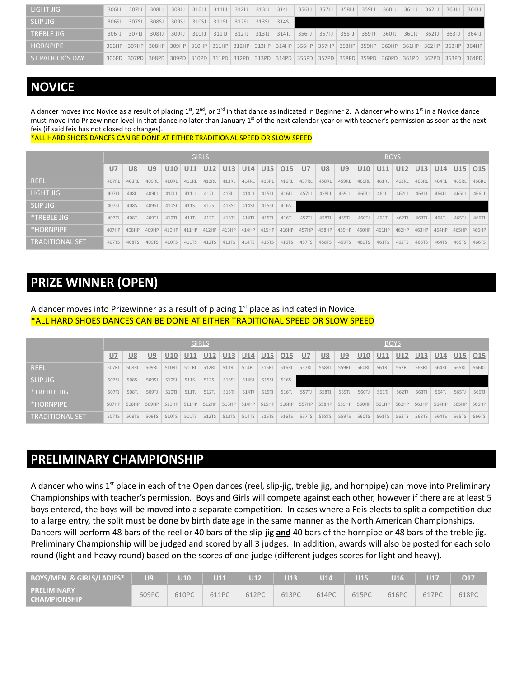| LIGHT JIG         | 306LJ | 307LJ | 308LJ | 309L  | 310LJ | 311L  | 312LJ | 313L                                                  | 314LJ | 356LJ | 357LJ | 358LJ | 359LJ       | 360LJ                                 | 361LJ | 362L  | 363L  | 364LJ |
|-------------------|-------|-------|-------|-------|-------|-------|-------|-------------------------------------------------------|-------|-------|-------|-------|-------------|---------------------------------------|-------|-------|-------|-------|
| <b>SLIP JIG</b>   | 306SJ | 307SJ | 308SJ | 309SJ | 310SJ | 311SJ | 312SJ | 313SJ                                                 | 314SJ |       |       |       |             |                                       |       |       |       |       |
| <b>TREBLE JIG</b> | 306TJ | 307TJ | 308TJ | 309TJ | 310TJ | 311TJ | 312TJ | 313TJ                                                 | 314TJ | 356TJ | 357TJ | 358TJ | 359TJ       | 360TJ                                 | 361TJ | 362TJ | 363TJ | 364TJ |
| <b>HORNPIPF</b>   | 306HP | 307HP |       |       |       |       |       | 308HP 309HP 310HP 311HP 312HP 313HP 314HP 356HP 357HP |       |       |       | 358HP | 359HP       | 360HP 361HP 362HP 363HP 364HP         |       |       |       |       |
| ST PATRICK'S DAY  | 306PD | 307PD |       |       |       |       |       | 308PD 309PD 310PD 311PD 312PD 313PD 314PD 356PD 357PD |       |       |       |       | 358PD 359PD | 360PD   361PD   362PD   363PD   364PD |       |       |       |       |

### **NOVICE**

A dancer moves into Novice as a result of placing 1<sup>st</sup>, 2<sup>nd</sup>, or 3<sup>rd</sup> in that dance as indicated in Beginner 2. A dancer who wins 1<sup>st</sup> in a Novice dance must move into Prizewinner level in that dance no later than January 1<sup>st</sup> of the next calendar year or with teacher's permission as soon as the next feis (if said feis has not closed to changes).

\*ALL HARD SHOES DANCES CAN BE DONE AT EITHER TRADITIONAL SPEED OR SLOW SPEED

|                        |       |           |       |       |       | <b>GIRLS</b> |       |       |       |                 |       |           |       |            |       | <b>BOYS</b> |       |       |       |       |
|------------------------|-------|-----------|-------|-------|-------|--------------|-------|-------|-------|-----------------|-------|-----------|-------|------------|-------|-------------|-------|-------|-------|-------|
|                        | U7    | <u>U8</u> | U9    | U10   | U11   | U12          | U13   | U14   | U15   | O <sub>15</sub> | $U$ 7 | <u>U8</u> | U9    | <u>U10</u> | U11   | U12         | U13   | U14   | U15   | 015   |
| <b>REEL</b>            | 407RL | 408RI     | 409RL | 410RL | 411RL | 412RL        | 413RL | 414RL | 415RL | 416RL           | 457RL | 458RL     | 459RL | 460RL      | 461RL | 462RL       | 463RL | 464RL | 465RL | 466RL |
| LIGHT JIG              | 407LJ | 408LJ     | 409LJ | 410LJ | 411LJ | 412LJ        | 413LJ | 414LJ | 415LJ | 416LJ           | 457LJ | 458LJ     | 459LJ | 460LJ      | 461LJ | 462LJ       | 463LJ | 464LJ | 465LJ | 466LJ |
| <b>SLIP JIG</b>        | 407SJ | 408SJ     | 409SJ | 410SJ | 411SJ | 412SJ        | 413SJ | 414SJ | 415SJ | 416SJ           |       |           |       |            |       |             |       |       |       |       |
| *TREBLE JIG            | 407TJ | 408TJ     | 409TJ | 410TJ | 411TJ | 412TJ        | 413TJ | 414TJ | 415TJ | 416TJ           | 457TJ | 458TJ     | 459TJ | 460TJ      | 461TJ | 462TJ       | 463TJ | 464TJ | 465TJ | 466TJ |
| *HORNPIPE              | 407HP | 408HP     | 409HP | 410HP | 411HP | 412HP        | 413HP | 414HP | 415HP | 416HP           | 457HP | 458HP     | 459HP | 460HP      | 461HP | 462HP       | 463HP | 464HP | 465HP | 466HP |
| <b>TRADITIONAL SET</b> | 407TS | 408TS     | 409TS | 410TS | 411TS | 412TS        | 413TS | 414TS | 415TS | 416TS           | 457TS | 458TS     | 459TS | 460TS      | 461TS | 462TS       | 463TS | 464TS | 465TS | 466TS |

## **PRIZE WINNER (OPEN)**

#### A dancer moves into Prizewinner as a result of placing  $1<sup>st</sup>$  place as indicated in Novice. \*ALL HARD SHOES DANCES CAN BE DONE AT EITHER TRADITIONAL SPEED OR SLOW SPEED

|                   |       |           |       |       |       | <b>GIRLS</b> |       |       |       |            |       |           |           |            | <b>BOYS</b> |       |            |       |       |       |
|-------------------|-------|-----------|-------|-------|-------|--------------|-------|-------|-------|------------|-------|-----------|-----------|------------|-------------|-------|------------|-------|-------|-------|
|                   | U7    | <u>U8</u> | U9    | U10   | U11   | U12          | U13   | U14   | U15   | <u>015</u> | $U$ 7 | <u>U8</u> | <u>U9</u> | <u>U10</u> | U11         | U12   | <u>U13</u> | U14   | U15   | 015   |
| <b>REEL</b>       | 507RL | 508RL     | 509RL | 510RL | 511RL | 512RL        | 513RL | 514RL | 515RL | 516RL      | 557RL | 558RL     | 559RL     | 560RL      | 561RL       | 562RL | 563RL      | 564RL | 565RL | 566RL |
| <b>SLIP JIG</b>   | 507SJ | 508SJ     | 509SJ | 510SJ | 511SJ | 512SJ        | 513SJ | 514SJ | 515SJ | 516SJ      |       |           |           |            |             |       |            |       |       |       |
| *TREBLE JIG       | 507TJ | 508T.     | 509TJ | 510TJ | 511TJ | 512TJ        | 513TJ | 514TJ | 515TJ | 516TJ      | 557TJ | 558TJ     | 559TJ     | 560TJ      | 561TJ       | 562TJ | 563TJ      | 564TJ | 565TJ | 566TJ |
| <b>*HORNPIPE</b>  | 507HP | 508HP     | 509HP | 510HP | 511HP | 512HP        | 513HP | 514HP | 515HP | 516HP      | 557HP | 558HP     | 559HP     | 560HP      | 561HP       | 562HP | 563HP      | 564HP | 565HP | 566HP |
| 'TRADITIONAL SET. | 507TS | 508TS     | 509TS | 510TS | 511TS | 512TS        | 513TS | 514TS | 515TS | 516TS      | 557TS | 558TS     | 559TS     | 560TS      | 561TS       | 562TS | 563TS      | 564TS | 565TS | 566TS |

### **PRELIMINARY CHAMPIONSHIP**

A dancer who wins 1<sup>st</sup> place in each of the Open dances (reel, slip-jig, treble jig, and hornpipe) can move into Preliminary Championships with teacher's permission. Boys and Girls will compete against each other, however if there are at least 5 boys entered, the boys will be moved into a separate competition. In cases where a Feis elects to split a competition due to a large entry, the split must be done by birth date age in the same manner as the North American Championships. Dancers will perform 48 bars of the reel or 40 bars of the slip-jig **and** 40 bars of the hornpipe or 48 bars of the treble jig. Preliminary Championship will be judged and scored by all 3 judges. In addition, awards will also be posted for each solo round (light and heavy round) based on the scores of one judge (different judges scores for light and heavy).

| <b>BOYS/MEN &amp; GIRLS/LADIES*</b>       | U <sub>9</sub> |       | <u> U11</u> | U12   | U13   | U14   | <b>U15</b> | U16   |       | O17   |
|-------------------------------------------|----------------|-------|-------------|-------|-------|-------|------------|-------|-------|-------|
| <b>PRELIMINARY</b><br><b>CHAMPIONSHIP</b> | 609PC          | 610PC | 611PC       | 612PC | 613PC | 614PC | 615PC      | 616PC | 617PC | 618PC |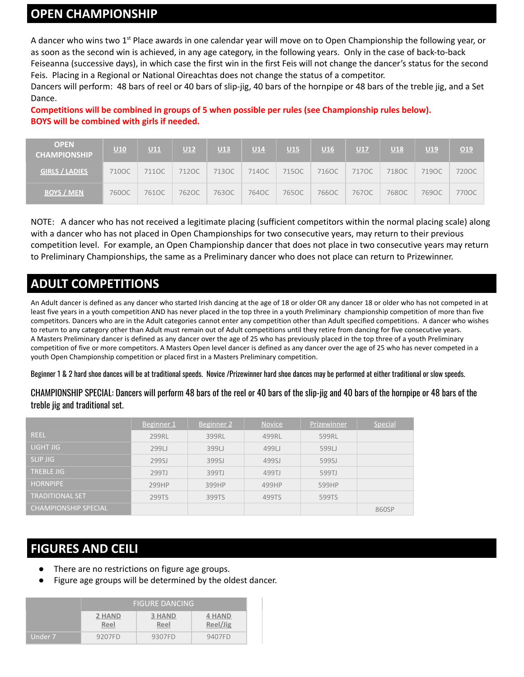### **OPEN CHAMPIONSHIP**

A dancer who wins two 1<sup>st</sup> Place awards in one calendar year will move on to Open Championship the following year, or as soon as the second win is achieved, in any age category, in the following years. Only in the case of back-to-back Feiseanna (successive days), in which case the first win in the first Feis will not change the dancer's status for the second Feis. Placing in a Regional or National Oireachtas does not change the status of a competitor.

Dancers will perform: 48 bars of reel or 40 bars of slip-jig, 40 bars of the hornpipe or 48 bars of the treble jig, and a Set Dance.

**Competitions will be combined in groups of 5 when possible per rules (see Championship rules below). BOYS will be combined with girls if needed.**

| <b>OPEN</b><br><b>CHAMPIONSHIP</b> | U10   | U11   | U12   | <b>U13</b> | U14   | U15   | U16   | U17   | U18   | U19   | O19     |
|------------------------------------|-------|-------|-------|------------|-------|-------|-------|-------|-------|-------|---------|
| <b>GIRLS / LADIES</b>              | 710OC | 711OC | 712OC | 713OC      | 714OC | 715OC | 716OC | 717OC | 718OC | 719OC | 720OC   |
| <b>BOYS / MEN</b>                  | 760OC | 761OC | 762OC | 763OC      | 764OC | 765OC | 766OC | 767OC | 768OC | 769OC | 770OC - |

NOTE: A dancer who has not received a legitimate placing (sufficient competitors within the normal placing scale) along with a dancer who has not placed in Open Championships for two consecutive years, may return to their previous competition level. For example, an Open Championship dancer that does not place in two consecutive years may return to Preliminary Championships, the same as a Preliminary dancer who does not place can return to Prizewinner.

## **ADULT COMPETITIONS**

An Adult dancer is defined as any dancer who started Irish dancing at the age of 18 or older OR any dancer 18 or older who has not competed in at least five years in a youth competition AND has never placed in the top three in a youth Preliminary championship competition of more than five competitors. Dancers who are in the Adult categories cannot enter any competition other than Adult specified competitions. A dancer who wishes to return to any category other than Adult must remain out of Adult competitions until they retire from dancing for five consecutive years. A Masters Preliminary dancer is defined as any dancer over the age of 25 who has previously placed in the top three of a youth Preliminary competition of five or more competitors. A Masters Open level dancer is defined as any dancer over the age of 25 who has never competed in a youth Open Championship competition or placed first in a Masters Preliminary competition.

Beginner 1 & 2 hard shoe dances will be at traditional speeds. Novice /Prizewinner hard shoe dances may be performed at either traditional or slow speeds.

CHAMPIONSHIP SPECIAL: Dancers will perform 48 bars of the reel or 40 bars of the slip-jig and 40 bars of the hornpipe or 48 bars of the treble jig and traditional set.

|                             | Beginner 1 | Beginner 2 | <b>Novice</b> | Prizewinner | Special |
|-----------------------------|------------|------------|---------------|-------------|---------|
| <b>REEL</b>                 | 299RL      | 399RL      | 499RL         | 599RL       |         |
| LIGHT JIG                   | 299日       | 399LJ      | 499LJ         | 599LJ       |         |
| <b>SLIP JIG</b>             | 299SJ      | 399SJ      | 499SJ         | 599SJ       |         |
| <b>TREBLE JIG</b>           | 299TJ      | 399TJ      | 499TJ         | 599TJ       |         |
| <b>HORNPIPE</b>             | 299HP      | 399HP      | 499HP         | 599HP       |         |
| <b>TRADITIONAL SET</b>      | 299TS      | 399TS      | 499TS         | 599TS       |         |
| <b>CHAMPIONSHIP SPECIAL</b> |            |            |               |             | 860SP   |

## **FIGURES AND CEILI**

- There are no restrictions on figure age groups.
- Figure age groups will be determined by the oldest dancer.

|         |                | <b>FIGURE DANCING</b> |                           |
|---------|----------------|-----------------------|---------------------------|
|         | 2 HAND<br>Reel | <b>3 HAND</b><br>Reel | <b>4 HAND</b><br>Reel/Jig |
| Under 7 | 9207FD         | 9307FD                | 9407FD                    |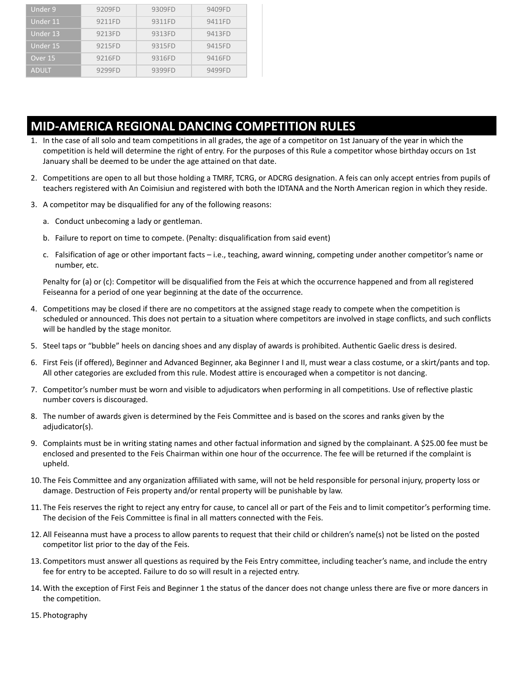| Under 9      | 9209FD | 9309FD | 9409FD |
|--------------|--------|--------|--------|
| Under 11     | 9211FD | 9311FD | 9411FD |
| Under 13     | 9213FD | 9313FD | 9413FD |
| Under 15     | 9215FD | 9315FD | 9415FD |
| Over 15      | 9216FD | 9316FD | 9416FD |
| <b>ADULT</b> | 9299FD | 9399FD | 9499FD |

### **MID-AMERICA REGIONAL DANCING COMPETITION RULES**

- 1. In the case of all solo and team competitions in all grades, the age of a competitor on 1st January of the year in which the competition is held will determine the right of entry. For the purposes of this Rule a competitor whose birthday occurs on 1st January shall be deemed to be under the age attained on that date.
- 2. Competitions are open to all but those holding a TMRF, TCRG, or ADCRG designation. A feis can only accept entries from pupils of teachers registered with An Coimisiun and registered with both the IDTANA and the North American region in which they reside.
- 3. A competitor may be disqualified for any of the following reasons:
	- a. Conduct unbecoming a lady or gentleman.
	- b. Failure to report on time to compete. (Penalty: disqualification from said event)
	- c. Falsification of age or other important facts i.e., teaching, award winning, competing under another competitor's name or number, etc.

Penalty for (a) or (c): Competitor will be disqualified from the Feis at which the occurrence happened and from all registered Feiseanna for a period of one year beginning at the date of the occurrence.

- 4. Competitions may be closed if there are no competitors at the assigned stage ready to compete when the competition is scheduled or announced. This does not pertain to a situation where competitors are involved in stage conflicts, and such conflicts will be handled by the stage monitor.
- 5. Steel taps or "bubble" heels on dancing shoes and any display of awards is prohibited. Authentic Gaelic dress is desired.
- 6. First Feis (if offered), Beginner and Advanced Beginner, aka Beginner I and II, must wear a class costume, or a skirt/pants and top. All other categories are excluded from this rule. Modest attire is encouraged when a competitor is not dancing.
- 7. Competitor's number must be worn and visible to adjudicators when performing in all competitions. Use of reflective plastic number covers is discouraged.
- 8. The number of awards given is determined by the Feis Committee and is based on the scores and ranks given by the adjudicator(s).
- 9. Complaints must be in writing stating names and other factual information and signed by the complainant. A \$25.00 fee must be enclosed and presented to the Feis Chairman within one hour of the occurrence. The fee will be returned if the complaint is upheld.
- 10. The Feis Committee and any organization affiliated with same, will not be held responsible for personal injury, property loss or damage. Destruction of Feis property and/or rental property will be punishable by law.
- 11. The Feis reserves the right to reject any entry for cause, to cancel all or part of the Feis and to limit competitor's performing time. The decision of the Feis Committee is final in all matters connected with the Feis.
- 12. All Feiseanna must have a process to allow parents to request that their child or children's name(s) not be listed on the posted competitor list prior to the day of the Feis.
- 13. Competitors must answer all questions as required by the Feis Entry committee, including teacher's name, and include the entry fee for entry to be accepted. Failure to do so will result in a rejected entry.
- 14. With the exception of First Feis and Beginner 1 the status of the dancer does not change unless there are five or more dancers in the competition.
- 15. Photography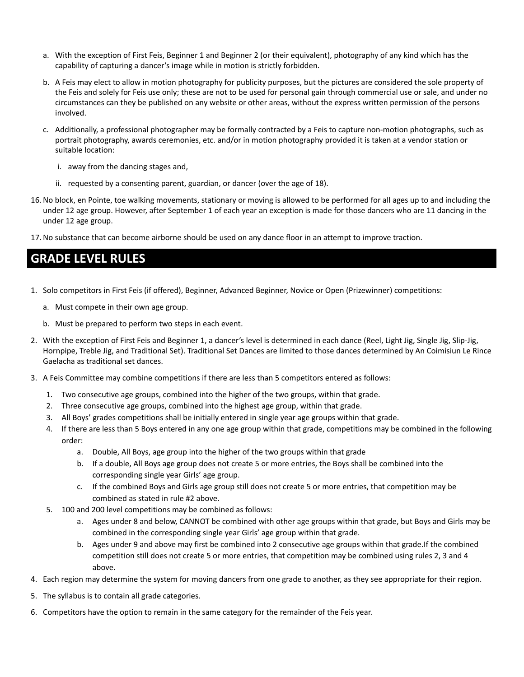- a. With the exception of First Feis, Beginner 1 and Beginner 2 (or their equivalent), photography of any kind which has the capability of capturing a dancer's image while in motion is strictly forbidden.
- b. A Feis may elect to allow in motion photography for publicity purposes, but the pictures are considered the sole property of the Feis and solely for Feis use only; these are not to be used for personal gain through commercial use or sale, and under no circumstances can they be published on any website or other areas, without the express written permission of the persons involved.
- c. Additionally, a professional photographer may be formally contracted by a Feis to capture non-motion photographs, such as portrait photography, awards ceremonies, etc. and/or in motion photography provided it is taken at a vendor station or suitable location:
	- i. away from the dancing stages and,
	- ii. requested by a consenting parent, guardian, or dancer (over the age of 18).
- 16.No block, en Pointe, toe walking movements, stationary or moving is allowed to be performed for all ages up to and including the under 12 age group. However, after September 1 of each year an exception is made for those dancers who are 11 dancing in the under 12 age group.
- 17.No substance that can become airborne should be used on any dance floor in an attempt to improve traction.

### **GRADE LEVEL RULES**

- 1. Solo competitors in First Feis (if offered), Beginner, Advanced Beginner, Novice or Open (Prizewinner) competitions:
	- a. Must compete in their own age group.
	- b. Must be prepared to perform two steps in each event.
- 2. With the exception of First Feis and Beginner 1, a dancer's level is determined in each dance (Reel, Light Jig, Single Jig, Slip-Jig, Hornpipe, Treble Jig, and Traditional Set). Traditional Set Dances are limited to those dances determined by An Coimisiun Le Rince Gaelacha as traditional set dances.
- 3. A Feis Committee may combine competitions if there are less than 5 competitors entered as follows:
	- 1. Two consecutive age groups, combined into the higher of the two groups, within that grade.
	- 2. Three consecutive age groups, combined into the highest age group, within that grade.
	- 3. All Boys' grades competitions shall be initially entered in single year age groups within that grade.
	- 4. If there are less than 5 Boys entered in any one age group within that grade, competitions may be combined in the following order:
		- a. Double, All Boys, age group into the higher of the two groups within that grade
		- b. If a double, All Boys age group does not create 5 or more entries, the Boys shall be combined into the corresponding single year Girls' age group.
		- c. If the combined Boys and Girls age group still does not create 5 or more entries, that competition may be combined as stated in rule #2 above.
	- 5. 100 and 200 level competitions may be combined as follows:
		- a. Ages under 8 and below, CANNOT be combined with other age groups within that grade, but Boys and Girls may be combined in the corresponding single year Girls' age group within that grade.
		- b. Ages under 9 and above may first be combined into 2 consecutive age groups within that grade.If the combined competition still does not create 5 or more entries, that competition may be combined using rules 2, 3 and 4 above.
- 4. Each region may determine the system for moving dancers from one grade to another, as they see appropriate for their region.
- 5. The syllabus is to contain all grade categories.
- 6. Competitors have the option to remain in the same category for the remainder of the Feis year.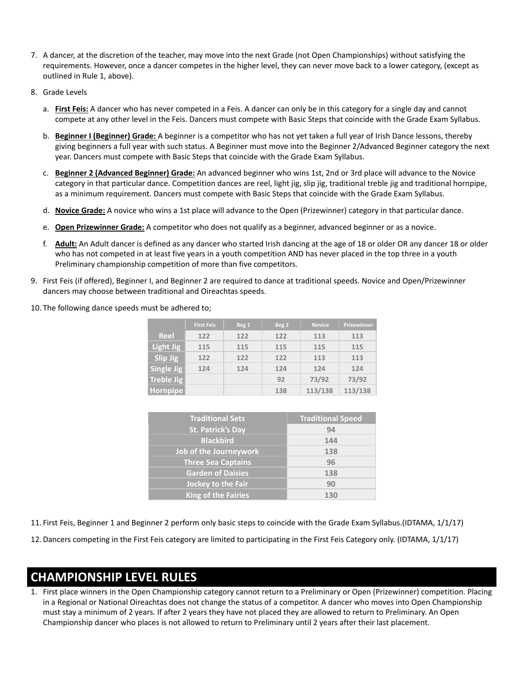- 7. A dancer, at the discretion of the teacher, may move into the next Grade (not Open Championships) without satisfying the requirements. However, once a dancer competes in the higher level, they can never move back to a lower category, (except as outlined in Rule 1, above).
- 8. Grade Levels
	- a. **First Feis:** A dancer who has never competed in a Feis. A dancer can only be in this category for a single day and cannot compete at any other level in the Feis. Dancers must compete with Basic Steps that coincide with the Grade Exam Syllabus.
	- b. **Beginner I (Beginner) Grade:** A beginner is a competitor who has not yet taken a full year of Irish Dance lessons, thereby giving beginners a full year with such status. A Beginner must move into the Beginner 2/Advanced Beginner category the next year. Dancers must compete with Basic Steps that coincide with the Grade Exam Syllabus.
	- c. **Beginner 2 (Advanced Beginner) Grade:** An advanced beginner who wins 1st, 2nd or 3rd place will advance to the Novice category in that particular dance. Competition dances are reel, light jig, slip jig, traditional treble jig and traditional hornpipe, as a minimum requirement. Dancers must compete with Basic Steps that coincide with the Grade Exam Syllabus.
	- d. **Novice Grade:** A novice who wins a 1st place will advance to the Open (Prizewinner) category in that particular dance.
	- e. **Open Prizewinner Grade:** A competitor who does not qualify as a beginner, advanced beginner or as a novice.
	- f. **Adult:** An Adult dancer is defined as any dancer who started Irish dancing at the age of 18 or older OR any dancer 18 or older who has not competed in at least five years in a youth competition AND has never placed in the top three in a youth Preliminary championship competition of more than five competitors.
- 9. First Feis (if offered), Beginner I, and Beginner 2 are required to dance at traditional speeds. Novice and Open/Prizewinner dancers may choose between traditional and Oireachtas speeds.
- 10. The following dance speeds must be adhered to;

|                  | <b>First Feis</b> | Beg 1 | Beg 2 | <b>Novice</b> | <b>Prizewinner</b> |
|------------------|-------------------|-------|-------|---------------|--------------------|
| <b>Reel</b>      | 122               | 122   | 122   | 113           | 113                |
| <b>Light Jig</b> | 115               | 115   | 115   | 115           | 115                |
| Slip Jig         | 122               | 122   | 122   | 113           | 113                |
| Single Jig       | 124               | 124   | 124   | 124           | 124                |
| Treble Jig       |                   |       | 92    | 73/92         | 73/92              |
| <b>Hornpipe</b>  |                   |       | 138   | 113/138       | 113/138            |

| <b>Traditional Sets</b>    | <b>Traditional Speed</b> |  |  |
|----------------------------|--------------------------|--|--|
| <b>St. Patrick's Day</b>   | 94                       |  |  |
| <b>Blackbird</b>           | 144                      |  |  |
| Job of the Journeywork     | 138                      |  |  |
| <b>Three Sea Captains</b>  | 96                       |  |  |
| <b>Garden of Daisies</b>   | 138                      |  |  |
| Jockey to the Fair         | 90                       |  |  |
| <b>King of the Fairies</b> | 130                      |  |  |

- 11. First Feis, Beginner 1 and Beginner 2 perform only basic steps to coincide with the Grade Exam Syllabus.(IDTAMA, 1/1/17)
- 12. Dancers competing in the First Feis category are limited to participating in the First Feis Category only. (IDTAMA, 1/1/17)

### **CHAMPIONSHIP LEVEL RULES**

1. First place winners in the Open Championship category cannot return to a Preliminary or Open (Prizewinner) competition. Placing in a Regional or National Oireachtas does not change the status of a competitor. A dancer who moves into Open Championship must stay a minimum of 2 years. If after 2 years they have not placed they are allowed to return to Preliminary. An Open Championship dancer who places is not allowed to return to Preliminary until 2 years after their last placement.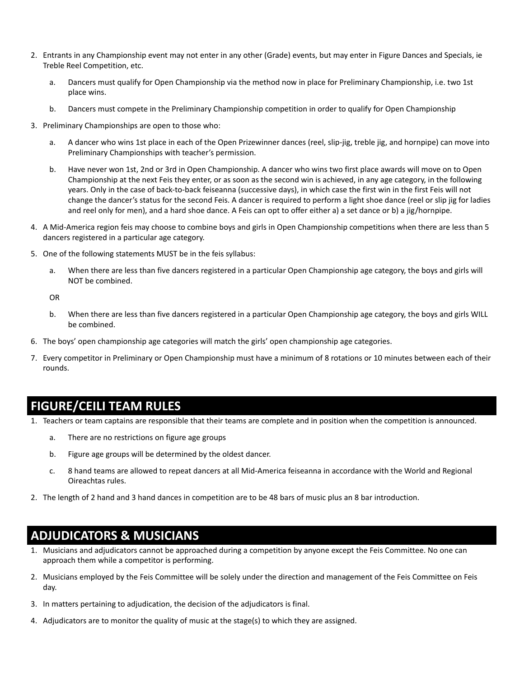- 2. Entrants in any Championship event may not enter in any other (Grade) events, but may enter in Figure Dances and Specials, ie Treble Reel Competition, etc.
	- a. Dancers must qualify for Open Championship via the method now in place for Preliminary Championship, i.e. two 1st place wins.
	- b. Dancers must compete in the Preliminary Championship competition in order to qualify for Open Championship
- 3. Preliminary Championships are open to those who:
	- a. A dancer who wins 1st place in each of the Open Prizewinner dances (reel, slip-jig, treble jig, and hornpipe) can move into Preliminary Championships with teacher's permission.
	- b. Have never won 1st, 2nd or 3rd in Open Championship. A dancer who wins two first place awards will move on to Open Championship at the next Feis they enter, or as soon as the second win is achieved, in any age category, in the following years. Only in the case of back-to-back feiseanna (successive days), in which case the first win in the first Feis will not change the dancer's status for the second Feis. A dancer is required to perform a light shoe dance (reel or slip jig for ladies and reel only for men), and a hard shoe dance. A Feis can opt to offer either a) a set dance or b) a jig/hornpipe.
- 4. A Mid-America region feis may choose to combine boys and girls in Open Championship competitions when there are less than 5 dancers registered in a particular age category.
- 5. One of the following statements MUST be in the feis syllabus:
	- a. When there are less than five dancers registered in a particular Open Championship age category, the boys and girls will NOT be combined.

OR

- b. When there are less than five dancers registered in a particular Open Championship age category, the boys and girls WILL be combined.
- 6. The boys' open championship age categories will match the girls' open championship age categories.
- 7. Every competitor in Preliminary or Open Championship must have a minimum of 8 rotations or 10 minutes between each of their rounds.

### **FIGURE/CEILI TEAM RULES**

- 1. Teachers or team captains are responsible that their teams are complete and in position when the competition is announced.
	- a. There are no restrictions on figure age groups
	- b. Figure age groups will be determined by the oldest dancer.
	- c. 8 hand teams are allowed to repeat dancers at all Mid-America feiseanna in accordance with the World and Regional Oireachtas rules.
- 2. The length of 2 hand and 3 hand dances in competition are to be 48 bars of music plus an 8 bar introduction.

### **ADJUDICATORS & MUSICIANS**

- 1. Musicians and adjudicators cannot be approached during a competition by anyone except the Feis Committee. No one can approach them while a competitor is performing.
- 2. Musicians employed by the Feis Committee will be solely under the direction and management of the Feis Committee on Feis day.
- 3. In matters pertaining to adjudication, the decision of the adjudicators is final.
- 4. Adjudicators are to monitor the quality of music at the stage(s) to which they are assigned.